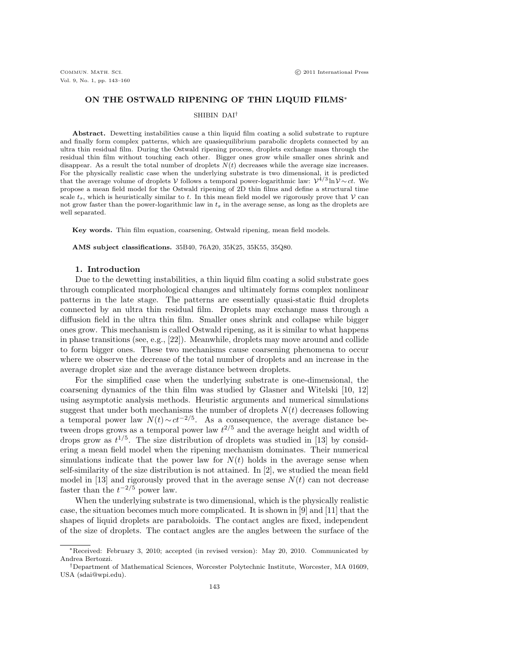## ON THE OSTWALD RIPENING OF THIN LIQUID FILMS<sup>∗</sup>

## SHIBIN DAI†

Abstract. Dewetting instabilities cause a thin liquid film coating a solid substrate to rupture and finally form complex patterns, which are quasiequilibrium parabolic droplets connected by an ultra thin residual film. During the Ostwald ripening process, droplets exchange mass through the residual thin film without touching each other. Bigger ones grow while smaller ones shrink and disappear. As a result the total number of droplets  $N(t)$  decreases while the average size increases. For the physically realistic case when the underlying substrate is two dimensional, it is predicted that the average volume of droplets V follows a temporal power-logarithmic law:  $\mathcal{V}^{4/3} \ln \mathcal{V} \sim ct$ . We propose a mean field model for the Ostwald ripening of 2D thin films and define a structural time scale  $t_s$ , which is heuristically similar to t. In this mean field model we rigorously prove that V can not grow faster than the power-logarithmic law in  $t_s$  in the average sense, as long as the droplets are well separated.

Key words. Thin film equation, coarsening, Ostwald ripening, mean field models.

AMS subject classifications. 35B40, 76A20, 35K25, 35K55, 35Q80.

#### 1. Introduction

Due to the dewetting instabilities, a thin liquid film coating a solid substrate goes through complicated morphological changes and ultimately forms complex nonlinear patterns in the late stage. The patterns are essentially quasi-static fluid droplets connected by an ultra thin residual film. Droplets may exchange mass through a diffusion field in the ultra thin film. Smaller ones shrink and collapse while bigger ones grow. This mechanism is called Ostwald ripening, as it is similar to what happens in phase transitions (see, e.g., [22]). Meanwhile, droplets may move around and collide to form bigger ones. These two mechanisms cause coarsening phenomena to occur where we observe the decrease of the total number of droplets and an increase in the average droplet size and the average distance between droplets.

For the simplified case when the underlying substrate is one-dimensional, the coarsening dynamics of the thin film was studied by Glasner and Witelski [10, 12] using asymptotic analysis methods. Heuristic arguments and numerical simulations suggest that under both mechanisms the number of droplets  $N(t)$  decreases following a temporal power law  $N(t) \sim ct^{-2/5}$ . As a consequence, the average distance between drops grows as a temporal power law  $t^{2/5}$  and the average height and width of drops grow as  $t^{1/5}$ . The size distribution of droplets was studied in [13] by considering a mean field model when the ripening mechanism dominates. Their numerical simulations indicate that the power law for  $N(t)$  holds in the average sense when self-similarity of the size distribution is not attained. In [2], we studied the mean field model in [13] and rigorously proved that in the average sense  $N(t)$  can not decrease faster than the  $t^{-2/5}$  power law.

When the underlying substrate is two dimensional, which is the physically realistic case, the situation becomes much more complicated. It is shown in [9] and [11] that the shapes of liquid droplets are paraboloids. The contact angles are fixed, independent of the size of droplets. The contact angles are the angles between the surface of the

<sup>∗</sup>Received: February 3, 2010; accepted (in revised version): May 20, 2010. Communicated by Andrea Bertozzi.

<sup>†</sup>Department of Mathematical Sciences, Worcester Polytechnic Institute, Worcester, MA 01609, USA (sdai@wpi.edu).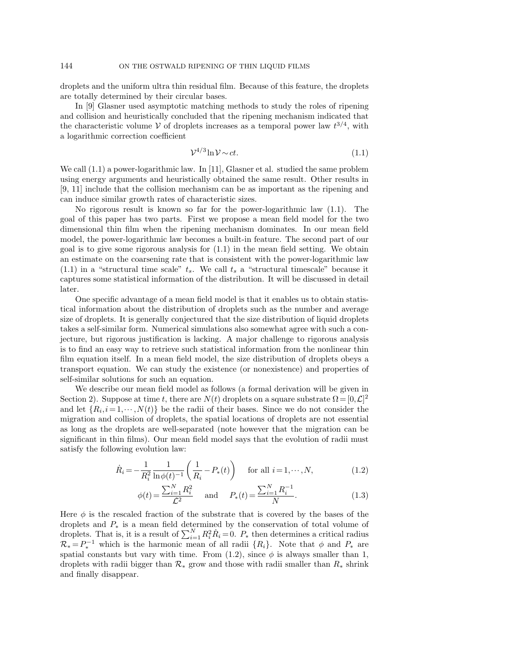droplets and the uniform ultra thin residual film. Because of this feature, the droplets are totally determined by their circular bases.

In [9] Glasner used asymptotic matching methods to study the roles of ripening and collision and heuristically concluded that the ripening mechanism indicated that the characteristic volume V of droplets increases as a temporal power law  $t^{3/4}$ , with a logarithmic correction coefficient

$$
\mathcal{V}^{4/3}\ln\mathcal{V} \sim ct.\tag{1.1}
$$

We call  $(1.1)$  a power-logarithmic law. In [11], Glasner et al. studied the same problem using energy arguments and heuristically obtained the same result. Other results in [9, 11] include that the collision mechanism can be as important as the ripening and can induce similar growth rates of characteristic sizes.

No rigorous result is known so far for the power-logarithmic law (1.1). The goal of this paper has two parts. First we propose a mean field model for the two dimensional thin film when the ripening mechanism dominates. In our mean field model, the power-logarithmic law becomes a built-in feature. The second part of our goal is to give some rigorous analysis for  $(1.1)$  in the mean field setting. We obtain an estimate on the coarsening rate that is consistent with the power-logarithmic law  $(1.1)$  in a "structural time scale"  $t_s$ . We call  $t_s$  a "structural timescale" because it captures some statistical information of the distribution. It will be discussed in detail later.

One specific advantage of a mean field model is that it enables us to obtain statistical information about the distribution of droplets such as the number and average size of droplets. It is generally conjectured that the size distribution of liquid droplets takes a self-similar form. Numerical simulations also somewhat agree with such a conjecture, but rigorous justification is lacking. A major challenge to rigorous analysis is to find an easy way to retrieve such statistical information from the nonlinear thin film equation itself. In a mean field model, the size distribution of droplets obeys a transport equation. We can study the existence (or nonexistence) and properties of self-similar solutions for such an equation.

We describe our mean field model as follows (a formal derivation will be given in Section 2). Suppose at time t, there are  $N(t)$  droplets on a square substrate  $\Omega = [0, \mathcal{L}]^2$ and let  $\{R_i, i = 1, \dots, N(t)\}\)$  be the radii of their bases. Since we do not consider the migration and collision of droplets, the spatial locations of droplets are not essential as long as the droplets are well-separated (note however that the migration can be significant in thin films). Our mean field model says that the evolution of radii must satisfy the following evolution law:

$$
\dot{R}_i = -\frac{1}{R_i^2} \frac{1}{\ln \phi(t)^{-1}} \left( \frac{1}{R_i} - P_*(t) \right) \quad \text{for all } i = 1, \cdots, N,
$$
\n(1.2)

$$
\phi(t) = \frac{\sum_{i=1}^{N} R_i^2}{\mathcal{L}^2} \quad \text{and} \quad P_*(t) = \frac{\sum_{i=1}^{N} R_i^{-1}}{N}.\tag{1.3}
$$

Here  $\phi$  is the rescaled fraction of the substrate that is covered by the bases of the droplets and P<sup>∗</sup> is a mean field determined by the conservation of total volume of droplets. That is, it is a result of  $\sum_{i=1}^{N} R_i^2 \dot{R}_i = 0$ .  $P_*$  then determines a critical radius  $\mathcal{R}_* = P_*^{-1}$  which is the harmonic mean of all radii  $\{R_i\}$ . Note that  $\phi$  and  $P_*$  are spatial constants but vary with time. From (1.2), since  $\phi$  is always smaller than 1, droplets with radii bigger than  $\mathcal{R}_*$  grow and those with radii smaller than  $R_*$  shrink and finally disappear.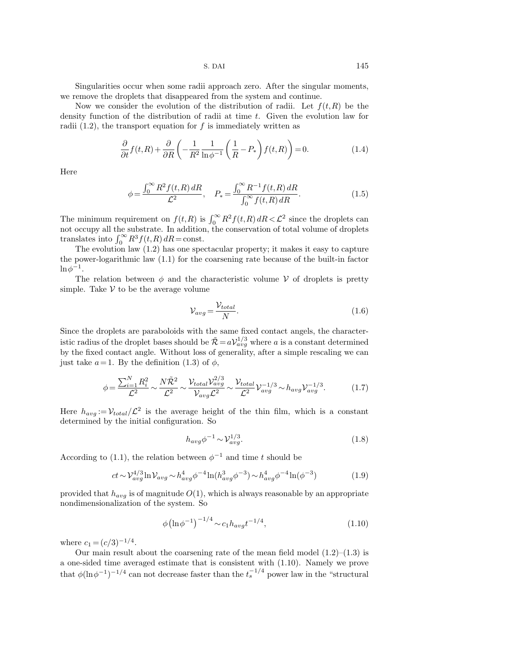Singularities occur when some radii approach zero. After the singular moments, we remove the droplets that disappeared from the system and continue.

Now we consider the evolution of the distribution of radii. Let  $f(t,R)$  be the density function of the distribution of radii at time t. Given the evolution law for radii  $(1.2)$ , the transport equation for f is immediately written as

$$
\frac{\partial}{\partial t} f(t, R) + \frac{\partial}{\partial R} \left( -\frac{1}{R^2} \frac{1}{\ln \phi^{-1}} \left( \frac{1}{R} - P_* \right) f(t, R) \right) = 0. \tag{1.4}
$$

Here

$$
\phi = \frac{\int_0^\infty R^2 f(t, R) \, dR}{\mathcal{L}^2}, \quad P_* = \frac{\int_0^\infty R^{-1} f(t, R) \, dR}{\int_0^\infty f(t, R) \, dR}.\tag{1.5}
$$

The minimum requirement on  $f(t,R)$  is  $\int_0^\infty R^2 f(t,R) dR < \mathcal{L}^2$  since the droplets can not occupy all the substrate. In addition, the conservation of total volume of droplets translates into  $\int_0^\infty R^3 f(t,R) dR = \text{const.}$ 

The evolution law (1.2) has one spectacular property; it makes it easy to capture the power-logarithmic law (1.1) for the coarsening rate because of the built-in factor  $\ln \phi^{-1}$ .

The relation between  $\phi$  and the characteristic volume V of droplets is pretty simple. Take  $V$  to be the average volume

$$
\mathcal{V}_{avg} = \frac{\mathcal{V}_{total}}{N}.
$$
\n(1.6)

Since the droplets are paraboloids with the same fixed contact angels, the characteristic radius of the droplet bases should be  $\tilde{\mathcal{R}} = a V_{avg}^{1/3}$  where a is a constant determined by the fixed contact angle. Without loss of generality, after a simple rescaling we can just take  $a = 1$ . By the definition (1.3) of  $\phi$ ,

$$
\phi = \frac{\sum_{i=1}^{N} R_i^2}{\mathcal{L}^2} \sim \frac{N\tilde{\mathcal{R}}^2}{\mathcal{L}^2} \sim \frac{\mathcal{V}_{total} \mathcal{V}_{avg}^{2/3}}{\mathcal{V}_{avg}\mathcal{L}^2} \sim \frac{\mathcal{V}_{total}}{\mathcal{L}^2} \mathcal{V}_{avg}^{-1/3} \sim h_{avg} \mathcal{V}_{avg}^{-1/3}.
$$
 (1.7)

Here  $h_{avg} := V_{total}/\mathcal{L}^2$  is the average height of the thin film, which is a constant determined by the initial configuration. So

$$
h_{avg}\phi^{-1} \sim \mathcal{V}_{avg}^{1/3}.\tag{1.8}
$$

According to (1.1), the relation between  $\phi^{-1}$  and time t should be

$$
ct \sim \mathcal{V}_{avg}^{4/3} \ln \mathcal{V}_{avg} \sim h_{avg}^{4} \phi^{-4} \ln(h_{avg}^{3} \phi^{-3}) \sim h_{avg}^{4} \phi^{-4} \ln(\phi^{-3})
$$
 (1.9)

provided that  $h_{avg}$  is of magnitude  $O(1)$ , which is always reasonable by an appropriate nondimensionalization of the system. So

$$
\phi \left(\ln \phi^{-1}\right)^{-1/4} \sim c_1 h_{avg} t^{-1/4},\tag{1.10}
$$

where  $c_1 = (c/3)^{-1/4}$ .

Our main result about the coarsening rate of the mean field model  $(1.2)$ – $(1.3)$  is a one-sided time averaged estimate that is consistent with (1.10). Namely we prove that  $\phi(\ln \phi^{-1})^{-1/4}$  can not decrease faster than the  $t_s^{-1/4}$  power law in the "structural"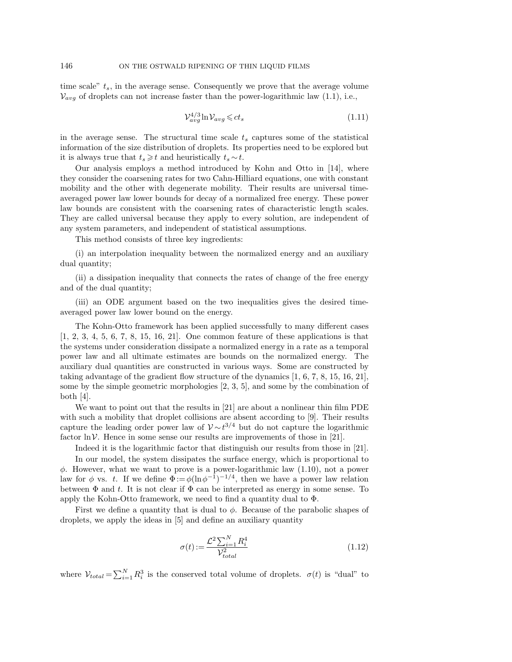time scale"  $t_s$ , in the average sense. Consequently we prove that the average volume  $V_{avg}$  of droplets can not increase faster than the power-logarithmic law (1.1), i.e.,

$$
\mathcal{V}_{avg}^{4/3} \ln \mathcal{V}_{avg} \leqslant ct_s \tag{1.11}
$$

in the average sense. The structural time scale  $t_s$  captures some of the statistical information of the size distribution of droplets. Its properties need to be explored but it is always true that  $t_s \geq t$  and heuristically  $t_s \sim t$ .

Our analysis employs a method introduced by Kohn and Otto in [14], where they consider the coarsening rates for two Cahn-Hilliard equations, one with constant mobility and the other with degenerate mobility. Their results are universal timeaveraged power law lower bounds for decay of a normalized free energy. These power law bounds are consistent with the coarsening rates of characteristic length scales. They are called universal because they apply to every solution, are independent of any system parameters, and independent of statistical assumptions.

This method consists of three key ingredients:

(i) an interpolation inequality between the normalized energy and an auxiliary dual quantity;

(ii) a dissipation inequality that connects the rates of change of the free energy and of the dual quantity;

(iii) an ODE argument based on the two inequalities gives the desired timeaveraged power law lower bound on the energy.

The Kohn-Otto framework has been applied successfully to many different cases [1, 2, 3, 4, 5, 6, 7, 8, 15, 16, 21]. One common feature of these applications is that the systems under consideration dissipate a normalized energy in a rate as a temporal power law and all ultimate estimates are bounds on the normalized energy. The auxiliary dual quantities are constructed in various ways. Some are constructed by taking advantage of the gradient flow structure of the dynamics [1, 6, 7, 8, 15, 16, 21], some by the simple geometric morphologies [2, 3, 5], and some by the combination of both  $[4]$ .

We want to point out that the results in [21] are about a nonlinear thin film PDE with such a mobility that droplet collisions are absent according to [9]. Their results capture the leading order power law of  $\mathcal{V} \sim t^{3/4}$  but do not capture the logarithmic factor  $\ln \mathcal{V}$ . Hence in some sense our results are improvements of those in [21].

Indeed it is the logarithmic factor that distinguish our results from those in [21].

In our model, the system dissipates the surface energy, which is proportional to  $\phi$ . However, what we want to prove is a power-logarithmic law  $(1.10)$ , not a power law for  $\phi$  vs. t. If we define  $\Phi := \phi(\ln \phi^{-1})^{-1/4}$ , then we have a power law relation between  $\Phi$  and t. It is not clear if  $\Phi$  can be interpreted as energy in some sense. To apply the Kohn-Otto framework, we need to find a quantity dual to Φ.

First we define a quantity that is dual to  $\phi$ . Because of the parabolic shapes of droplets, we apply the ideas in [5] and define an auxiliary quantity

$$
\sigma(t) := \frac{\mathcal{L}^2 \sum_{i=1}^{N} R_i^4}{\mathcal{V}_{total}^2}
$$
\n(1.12)

where  $V_{total} = \sum_{i=1}^{N} R_i^3$  is the conserved total volume of droplets.  $\sigma(t)$  is "dual" to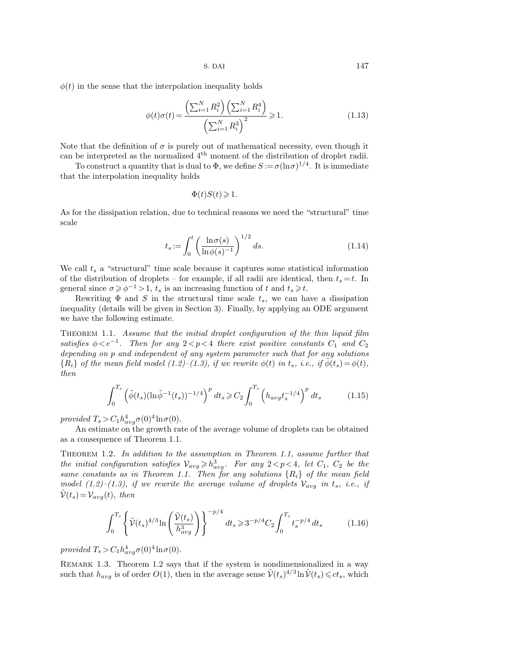$\phi(t)$  in the sense that the interpolation inequality holds

$$
\phi(t)\sigma(t) = \frac{\left(\sum_{i=1}^{N} R_i^2\right) \left(\sum_{i=1}^{N} R_i^4\right)}{\left(\sum_{i=1}^{N} R_i^3\right)^2} \ge 1.
$$
\n(1.13)

Note that the definition of  $\sigma$  is purely out of mathematical necessity, even though it can be interpreted as the normalized  $4<sup>th</sup>$  moment of the distribution of droplet radii.

To construct a quantity that is dual to  $\Phi$ , we define  $S := \sigma (\ln \sigma)^{1/4}$ . It is immediate that the interpolation inequality holds

$$
\Phi(t)S(t) \geq 1.
$$

As for the dissipation relation, due to technical reasons we need the "structural" time scale

$$
t_s := \int_0^t \left(\frac{\ln \sigma(s)}{\ln \phi(s)^{-1}}\right)^{1/2} ds.
$$
\n(1.14)

We call  $t_s$  a "structural" time scale because it captures some statistical information of the distribution of droplets – for example, if all radii are identical, then  $t_s = t$ . In general since  $\sigma \ge \phi^{-1} > 1$ ,  $t_s$  is an increasing function of t and  $t_s \ge t$ .

Rewriting  $\Phi$  and S in the structural time scale  $t_s$ , we can have a dissipation inequality (details will be given in Section 3). Finally, by applying an ODE argument we have the following estimate.

THEOREM 1.1. Assume that the initial droplet configuration of the thin liquid film satisfies  $\phi < e^{-1}$ . Then for any  $2 < p < 4$  there exist positive constants  $C_1$  and  $C_2$ depending on p and independent of any system parameter such that for any solutions  ${R_i}$  of the mean field model (1.2)–(1.3), if we rewrite  $\phi(t)$  in  $t_s$ , i.e., if  $\tilde{\phi}(t_s) = \phi(t)$ , then

$$
\int_0^{T_s} \left( \tilde{\phi}(t_s) (\ln \tilde{\phi}^{-1}(t_s))^{-1/4} \right)^p dt_s \geq C_2 \int_0^{T_s} \left( h_{avg} t_s^{-1/4} \right)^p dt_s \tag{1.15}
$$

provided  $T_s > C_1 h_{avg}^4 \sigma(0)^4 \ln \sigma(0)$ .

An estimate on the growth rate of the average volume of droplets can be obtained as a consequence of Theorem 1.1.

Theorem 1.2. In addition to the assumption in Theorem 1.1, assume further that the initial configuration satisfies  $\mathcal{V}_{avg} \geq h_{avg}^3$ . For any  $2 < p < 4$ , let  $C_1$ ,  $C_2$  be the same constants as in Theorem 1.1. Then for any solutions  $\{R_i\}$  of the mean field model (1.2)–(1.3), if we rewrite the average volume of droplets  $V_{avg}$  in  $t_s$ , i.e., if  $V(t_s) = V_{avg}(t)$ , then

$$
\int_0^{T_s} \left\{ \tilde{\mathcal{V}}(t_s)^{4/3} \ln \left( \frac{\tilde{\mathcal{V}}(t_s)}{h_{avg}^3} \right) \right\}^{-p/4} dt_s \ge 3^{-p/4} C_2 \int_0^{T_s} t_s^{-p/4} dt_s \tag{1.16}
$$

provided  $T_s > C_1 h_{avg}^4 \sigma(0)^4 \ln \sigma(0)$ .

REMARK 1.3. Theorem 1.2 says that if the system is nondimensionalized in a way such that  $h_{avg}$  is of order  $O(1)$ , then in the average sense  $\tilde{\mathcal{V}}(t_s)^{4/3} \ln \tilde{\mathcal{V}}(t_s) \leqslant ct_s$ , which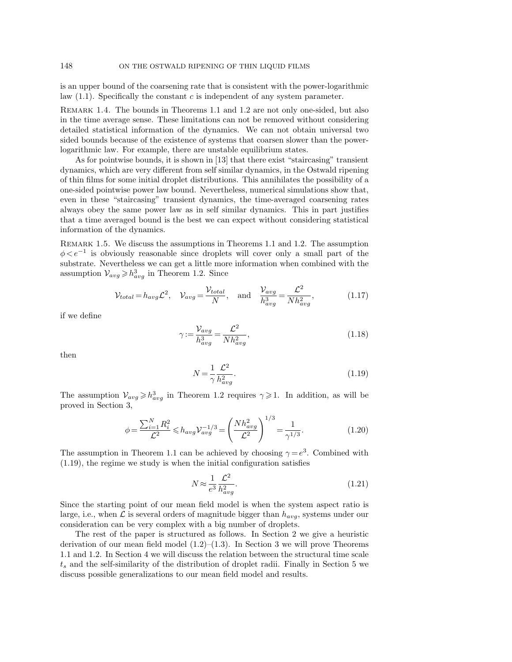is an upper bound of the coarsening rate that is consistent with the power-logarithmic law  $(1.1)$ . Specifically the constant c is independent of any system parameter.

REMARK 1.4. The bounds in Theorems 1.1 and 1.2 are not only one-sided, but also in the time average sense. These limitations can not be removed without considering detailed statistical information of the dynamics. We can not obtain universal two sided bounds because of the existence of systems that coarsen slower than the powerlogarithmic law. For example, there are unstable equilibrium states.

As for pointwise bounds, it is shown in [13] that there exist "staircasing" transient dynamics, which are very different from self similar dynamics, in the Ostwald ripening of thin films for some initial droplet distributions. This annihilates the possibility of a one-sided pointwise power law bound. Nevertheless, numerical simulations show that, even in these "staircasing" transient dynamics, the time-averaged coarsening rates always obey the same power law as in self similar dynamics. This in part justifies that a time averaged bound is the best we can expect without considering statistical information of the dynamics.

Remark 1.5. We discuss the assumptions in Theorems 1.1 and 1.2. The assumption  $\phi < e^{-1}$  is obviously reasonable since droplets will cover only a small part of the substrate. Nevertheless we can get a little more information when combined with the assumption  $V_{avg} \ge h_{avg}^3$  in Theorem 1.2. Since

$$
\mathcal{V}_{total} = h_{avg} \mathcal{L}^2, \quad \mathcal{V}_{avg} = \frac{\mathcal{V}_{total}}{N}, \quad \text{and} \quad \frac{\mathcal{V}_{avg}}{h_{avg}^3} = \frac{\mathcal{L}^2}{N h_{avg}^2}, \tag{1.17}
$$

if we define

$$
\gamma := \frac{\mathcal{V}_{avg}}{h_{avg}^3} = \frac{\mathcal{L}^2}{N h_{avg}^2},\tag{1.18}
$$

then

$$
N = \frac{1}{\gamma} \frac{\mathcal{L}^2}{h_{avg}^2}.
$$
\n(1.19)

The assumption  $\mathcal{V}_{avg} \geq h_{avg}^3$  in Theorem 1.2 requires  $\gamma \geq 1$ . In addition, as will be proved in Section 3,

$$
\phi = \frac{\sum_{i=1}^{N} R_i^2}{\mathcal{L}^2} \le h_{avg} \mathcal{V}_{avg}^{-1/3} = \left(\frac{N h_{avg}^2}{\mathcal{L}^2}\right)^{1/3} = \frac{1}{\gamma^{1/3}}.
$$
\n(1.20)

The assumption in Theorem 1.1 can be achieved by choosing  $\gamma = e^3$ . Combined with (1.19), the regime we study is when the initial configuration satisfies

$$
N \approx \frac{1}{e^3} \frac{\mathcal{L}^2}{h_{avg}^2}.\tag{1.21}
$$

Since the starting point of our mean field model is when the system aspect ratio is large, i.e., when  $\mathcal L$  is several orders of magnitude bigger than  $h_{avg}$ , systems under our consideration can be very complex with a big number of droplets.

The rest of the paper is structured as follows. In Section 2 we give a heuristic derivation of our mean field model  $(1.2)$ – $(1.3)$ . In Section 3 we will prove Theorems 1.1 and 1.2. In Section 4 we will discuss the relation between the structural time scale  $t<sub>s</sub>$  and the self-similarity of the distribution of droplet radii. Finally in Section 5 we discuss possible generalizations to our mean field model and results.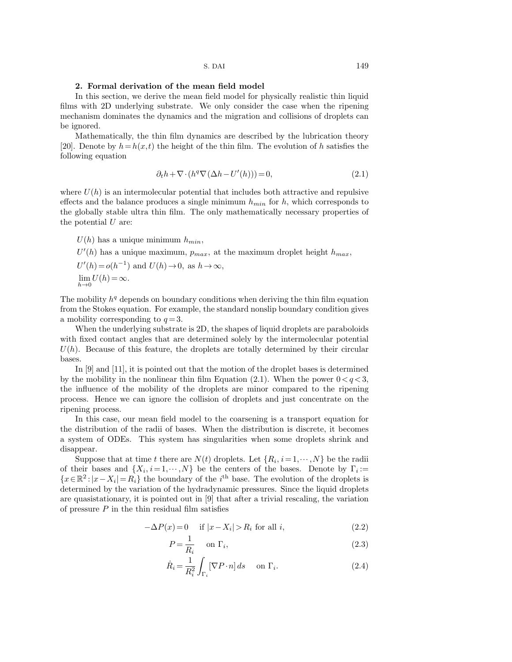# 2. Formal derivation of the mean field model

In this section, we derive the mean field model for physically realistic thin liquid films with 2D underlying substrate. We only consider the case when the ripening mechanism dominates the dynamics and the migration and collisions of droplets can be ignored.

Mathematically, the thin film dynamics are described by the lubrication theory [20]. Denote by  $h=h(x,t)$  the height of the thin film. The evolution of h satisfies the following equation

$$
\partial_t h + \nabla \cdot (h^q \nabla (\Delta h - U'(h))) = 0,\tag{2.1}
$$

where  $U(h)$  is an intermolecular potential that includes both attractive and repulsive effects and the balance produces a single minimum  $h_{min}$  for h, which corresponds to the globally stable ultra thin film. The only mathematically necessary properties of the potential  $U$  are:

 $U(h)$  has a unique minimum  $h_{min}$ ,

 $U'(h)$  has a unique maximum,  $p_{max}$ , at the maximum droplet height  $h_{max}$ ,  $U'(h) = o(h^{-1})$  and  $U(h) \to 0$ , as  $h \to \infty$ ,  $\lim_{h\to 0} U(h) = \infty.$ 

The mobility  $h<sup>q</sup>$  depends on boundary conditions when deriving the thin film equation from the Stokes equation. For example, the standard nonslip boundary condition gives a mobility corresponding to  $q=3$ .

When the underlying substrate is 2D, the shapes of liquid droplets are paraboloids with fixed contact angles that are determined solely by the intermolecular potential  $U(h)$ . Because of this feature, the droplets are totally determined by their circular bases.

In [9] and [11], it is pointed out that the motion of the droplet bases is determined by the mobility in the nonlinear thin film Equation (2.1). When the power  $0 < q < 3$ , the influence of the mobility of the droplets are minor compared to the ripening process. Hence we can ignore the collision of droplets and just concentrate on the ripening process.

In this case, our mean field model to the coarsening is a transport equation for the distribution of the radii of bases. When the distribution is discrete, it becomes a system of ODEs. This system has singularities when some droplets shrink and disappear.

Suppose that at time t there are  $N(t)$  droplets. Let  $\{R_i, i = 1, \dots, N\}$  be the radii of their bases and  $\{X_i, i=1,\dots,N\}$  be the centers of the bases. Denote by  $\Gamma_i :=$  ${x \in \mathbb{R}^2 : |x - X_i| = R_i}$  the boundary of the *i*<sup>th</sup> base. The evolution of the droplets is determined by the variation of the hydradynamic pressures. Since the liquid droplets are quasistationary, it is pointed out in [9] that after a trivial rescaling, the variation of pressure  $P$  in the thin residual film satisfies

$$
-\Delta P(x) = 0 \quad \text{if } |x - X_i| > R_i \text{ for all } i,
$$
\n
$$
(2.2)
$$

$$
P = \frac{1}{R_i} \quad \text{on } \Gamma_i,\tag{2.3}
$$

$$
\dot{R}_i = \frac{1}{R_i^2} \int_{\Gamma_i} [\nabla P \cdot n] \, ds \quad \text{on } \Gamma_i.
$$
\n(2.4)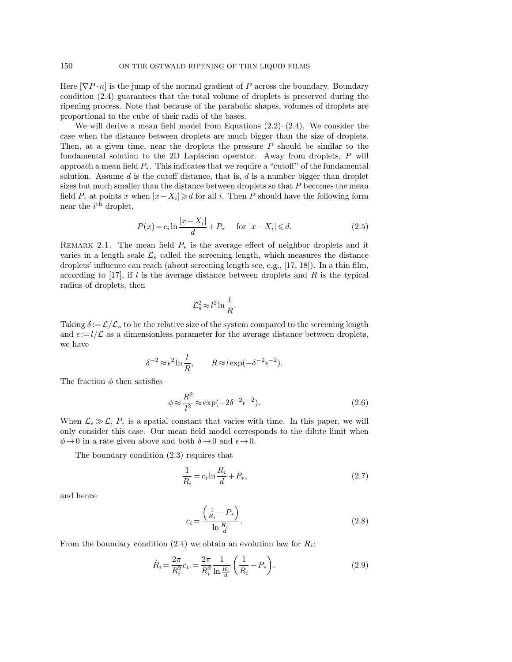Here  $[\nabla P \cdot n]$  is the jump of the normal gradient of P across the boundary. Boundary condition (2.4) guarantees that the total volume of droplets is preserved during the ripening process. Note that because of the parabolic shapes, volumes of droplets are proportional to the cube of their radii of the bases.

We will derive a mean field model from Equations  $(2.2)$ – $(2.4)$ . We consider the case when the distance between droplets are much bigger than the size of droplets. Then, at a given time, near the droplets the pressure  $P$  should be similar to the fundamental solution to the 2D Laplacian operator. Away from droplets, P will approach a mean field  $P_{*}$ . This indicates that we require a "cutoff" of the fundamental solution. Assume d is the cutoff distance, that is,  $d$  is a number bigger than droplet sizes but much smaller than the distance between droplets so that  $P$  becomes the mean field  $P_*$  at points x when  $|x - X_i| \ge d$  for all i. Then P should have the following form near the  $i^{\text{th}}$  droplet,

$$
P(x) = c_i \ln \frac{|x - X_i|}{d} + P_* \quad \text{for } |x - X_i| \le d.
$$
 (2.5)

REMARK 2.1. The mean field  $P_*$  is the average effect of neighbor droplets and it varies in a length scale  $\mathcal{L}_s$  called the screening length, which measures the distance droplets' influence can reach (about screening length see, e.g., [17, 18]). In a thin film, according to [17], if  $l$  is the average distance between droplets and  $R$  is the typical radius of droplets, then

$$
\mathcal{L}_s^2 \approx l^2 \ln \frac{l}{R}.
$$

Taking  $\delta := \mathcal{L}/\mathcal{L}_s$  to be the relative size of the system compared to the screening length and  $\epsilon = l/\mathcal{L}$  as a dimensionless parameter for the average distance between droplets, we have

$$
\delta^{-2} \approx \epsilon^2 \ln \frac{l}{R}, \qquad R \approx l \exp(-\delta^{-2} \epsilon^{-2}).
$$

The fraction  $\phi$  then satisfies

$$
\phi \approx \frac{R^2}{l^2} \approx \exp(-2\delta^{-2}\epsilon^{-2}).\tag{2.6}
$$

When  $\mathcal{L}_s \gg \mathcal{L}, P_*$  is a spatial constant that varies with time. In this paper, we will only consider this case. Our mean field model corresponds to the dilute limit when  $\phi \rightarrow 0$  in a rate given above and both  $\delta \rightarrow 0$  and  $\epsilon \rightarrow 0$ .

The boundary condition (2.3) requires that

$$
\frac{1}{R_i} = c_i \ln \frac{R_i}{d} + P_*,
$$
\n(2.7)

and hence

$$
c_i = \frac{\left(\frac{1}{R_i} - P_*\right)}{\ln \frac{R_i}{d}}.\tag{2.8}
$$

From the boundary condition  $(2.4)$  we obtain an evolution law for  $R_i$ :

$$
\dot{R}_i = \frac{2\pi}{R_i^2} c_i = \frac{2\pi}{R_i^2} \frac{1}{\ln\frac{R_i}{d}} \left(\frac{1}{R_i} - P_*\right).
$$
\n(2.9)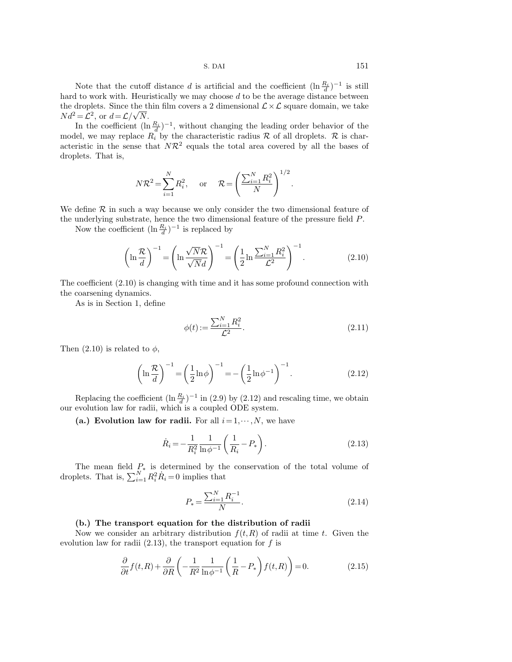Note that the cutoff distance d is artificial and the coefficient  $(\ln \frac{R_i}{d})^{-1}$  is still hard to work with. Heuristically we may choose  $d$  to be the average distance between the droplets. Since the thin film covers a 2 dimensional  $\mathcal{L} \times \mathcal{L}$  square domain, we take  $Nd^2 = \mathcal{L}^2$ , or  $d = \mathcal{L}/\sqrt{N}$ .

In the coefficient  $(\ln \frac{R_i}{d})^{-1}$ , without changing the leading order behavior of the model, we may replace  $R_i$  by the characteristic radius  $R$  of all droplets.  $R$  is characteristic in the sense that  $N\mathcal{R}^2$  equals the total area covered by all the bases of droplets. That is,

$$
N\mathcal{R}^2 = \sum_{i=1}^N R_i^2, \text{ or } \mathcal{R} = \left(\frac{\sum_{i=1}^N R_i^2}{N}\right)^{1/2}.
$$

We define  $\mathcal R$  in such a way because we only consider the two dimensional feature of the underlying substrate, hence the two dimensional feature of the pressure field P.

Now the coefficient  $(\ln \frac{R_i}{d})^{-1}$  is replaced by

$$
\left(\ln\frac{\mathcal{R}}{d}\right)^{-1} = \left(\ln\frac{\sqrt{N}\mathcal{R}}{\sqrt{N}d}\right)^{-1} = \left(\frac{1}{2}\ln\frac{\sum_{i=1}^{N}R_i^2}{\mathcal{L}^2}\right)^{-1}.\tag{2.10}
$$

The coefficient (2.10) is changing with time and it has some profound connection with the coarsening dynamics.

As is in Section 1, define

$$
\phi(t) := \frac{\sum_{i=1}^{N} R_i^2}{\mathcal{L}^2}.
$$
\n(2.11)

Then  $(2.10)$  is related to  $\phi$ ,

$$
\left(\ln\frac{\mathcal{R}}{d}\right)^{-1} = \left(\frac{1}{2}\ln\phi\right)^{-1} = -\left(\frac{1}{2}\ln\phi^{-1}\right)^{-1}.
$$
 (2.12)

Replacing the coefficient  $(\ln \frac{R_i}{d})^{-1}$  in (2.9) by (2.12) and rescaling time, we obtain our evolution law for radii, which is a coupled ODE system.

(a.) Evolution law for radii. For all  $i=1,\dots,N$ , we have

$$
\dot{R}_i = -\frac{1}{R_i^2} \frac{1}{\ln \phi^{-1}} \left( \frac{1}{R_i} - P_* \right). \tag{2.13}
$$

The mean field  $P_*$  is determined by the conservation of the total volume of droplets. That is,  $\sum_{i=1}^{N} R_i^2 \dot{R}_i = 0$  implies that

$$
P_* = \frac{\sum_{i=1}^{N} R_i^{-1}}{N}.
$$
\n(2.14)

## (b.) The transport equation for the distribution of radii

Now we consider an arbitrary distribution  $f(t,R)$  of radii at time t. Given the evolution law for radii  $(2.13)$ , the transport equation for f is

$$
\frac{\partial}{\partial t} f(t, R) + \frac{\partial}{\partial R} \left( -\frac{1}{R^2} \frac{1}{\ln \phi^{-1}} \left( \frac{1}{R} - P_* \right) f(t, R) \right) = 0. \tag{2.15}
$$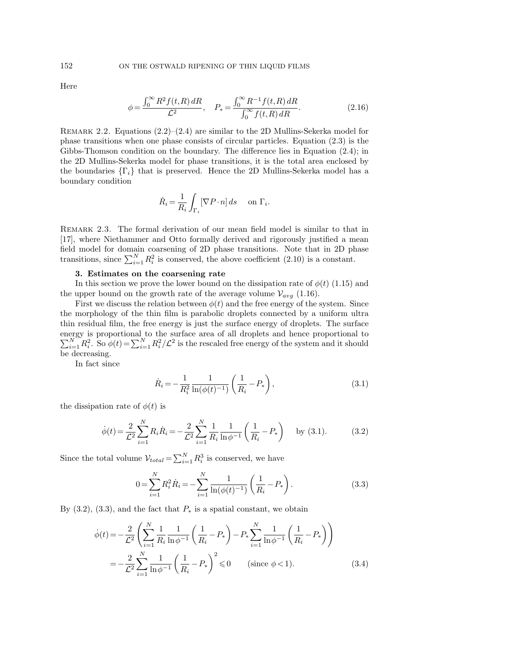Here

$$
\phi = \frac{\int_0^\infty R^2 f(t, R) \, dR}{\mathcal{L}^2}, \quad P_* = \frac{\int_0^\infty R^{-1} f(t, R) \, dR}{\int_0^\infty f(t, R) \, dR}.\tag{2.16}
$$

REMARK 2.2. Equations  $(2.2)$ – $(2.4)$  are similar to the 2D Mullins-Sekerka model for phase transitions when one phase consists of circular particles. Equation (2.3) is the Gibbs-Thomson condition on the boundary. The difference lies in Equation (2.4); in the 2D Mullins-Sekerka model for phase transitions, it is the total area enclosed by the boundaries  $\{\Gamma_i\}$  that is preserved. Hence the 2D Mullins-Sekerka model has a boundary condition

$$
\dot{R}_i = \frac{1}{R_i} \int_{\Gamma_i} [\nabla P \cdot n] \, ds \quad \text{on } \Gamma_i.
$$

REMARK 2.3. The formal derivation of our mean field model is similar to that in [17], where Niethammer and Otto formally derived and rigorously justified a mean field model for domain coarsening of 2D phase transitions. Note that in 2D phase transitions, since  $\sum_{i=1}^{N} R_i^2$  is conserved, the above coefficient (2.10) is a constant.

## 3. Estimates on the coarsening rate

In this section we prove the lower bound on the dissipation rate of  $\phi(t)$  (1.15) and the upper bound on the growth rate of the average volume  $V_{avg}$  (1.16).

First we discuss the relation between  $\phi(t)$  and the free energy of the system. Since the morphology of the thin film is parabolic droplets connected by a uniform ultra thin residual film, the free energy is just the surface energy of droplets. The surface energy is proportional to the surface area of all droplets an  $\sum$ ergy is proportional to the surface area of all droplets and hence proportional to  $\sum_{i=1}^{N} R_i^2$ . So  $\phi(t) = \sum_{i=1}^{N} R_i^2 / \mathcal{L}^2$  is the rescaled free energy of the system and it should be decreasing.

In fact since

$$
\dot{R}_i = -\frac{1}{R_i^2} \frac{1}{\ln(\phi(t)^{-1})} \left( \frac{1}{R_i} - P_* \right),\tag{3.1}
$$

the dissipation rate of  $\phi(t)$  is

$$
\dot{\phi}(t) = \frac{2}{\mathcal{L}^2} \sum_{i=1}^N R_i \dot{R}_i = -\frac{2}{\mathcal{L}^2} \sum_{i=1}^N \frac{1}{R_i} \frac{1}{\ln \phi^{-1}} \left( \frac{1}{R_i} - P_* \right) \text{ by (3.1).}
$$
 (3.2)

Since the total volume  $V_{total} = \sum_{i=1}^{N} R_i^3$  is conserved, we have

$$
0 = \sum_{i=1}^{N} R_i^2 \dot{R}_i = -\sum_{i=1}^{N} \frac{1}{\ln(\phi(t)^{-1})} \left(\frac{1}{R_i} - P_*\right).
$$
 (3.3)

By  $(3.2)$ ,  $(3.3)$ , and the fact that  $P_*$  is a spatial constant, we obtain

$$
\dot{\phi}(t) = -\frac{2}{\mathcal{L}^2} \left( \sum_{i=1}^N \frac{1}{R_i} \frac{1}{\ln \phi^{-1}} \left( \frac{1}{R_i} - P_* \right) - P_* \sum_{i=1}^N \frac{1}{\ln \phi^{-1}} \left( \frac{1}{R_i} - P_* \right) \right)
$$

$$
= -\frac{2}{\mathcal{L}^2} \sum_{i=1}^N \frac{1}{\ln \phi^{-1}} \left( \frac{1}{R_i} - P_* \right)^2 \leq 0 \qquad \text{(since } \phi < 1\text{)}.
$$
\n(3.4)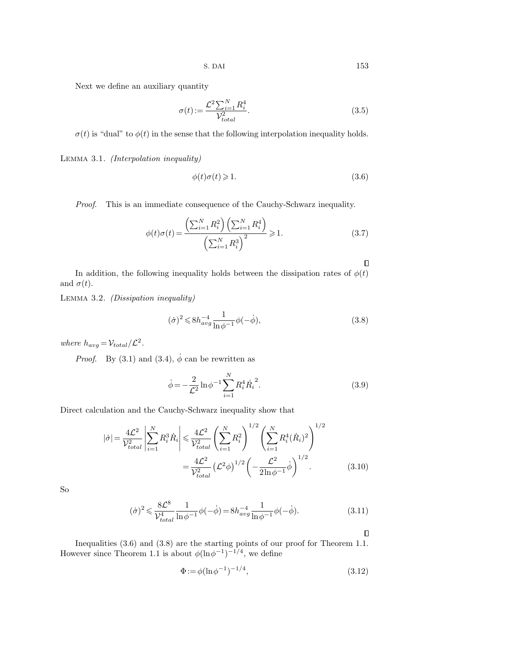Next we define an auxiliary quantity

$$
\sigma(t) := \frac{\mathcal{L}^2 \sum_{i=1}^N R_i^4}{\mathcal{V}_{total}^2}.
$$
\n(3.5)

 $\sigma(t)$  is "dual" to  $\phi(t)$  in the sense that the following interpolation inequality holds.

Lemma 3.1. (Interpolation inequality)

$$
\phi(t)\sigma(t) \geqslant 1. \tag{3.6}
$$

Proof. This is an immediate consequence of the Cauchy-Schwarz inequality.

$$
\phi(t)\sigma(t) = \frac{\left(\sum_{i=1}^{N} R_i^2\right) \left(\sum_{i=1}^{N} R_i^4\right)}{\left(\sum_{i=1}^{N} R_i^3\right)^2} \ge 1.
$$
\n(3.7)

 $\Box$ 

In addition, the following inequality holds between the dissipation rates of  $\phi(t)$ and  $\sigma(t)$ .

Lemma 3.2. (Dissipation inequality)

$$
(\dot{\sigma})^2 \le 8h_{avg}^{-4} \frac{1}{\ln \phi^{-1}} \phi(-\dot{\phi}),\tag{3.8}
$$

where  $h_{avg} = V_{total} / \mathcal{L}^2$ .

*Proof.* By (3.1) and (3.4),  $\dot{\phi}$  can be rewritten as

$$
\dot{\phi} = -\frac{2}{\mathcal{L}^2} \ln \phi^{-1} \sum_{i=1}^N R_i^4 \dot{R}_i^2.
$$
 (3.9)

Direct calculation and the Cauchy-Schwarz inequality show that

$$
|\dot{\sigma}| = \frac{4\mathcal{L}^2}{\mathcal{V}_{total}^2} \left| \sum_{i=1}^N R_i^3 \dot{R}_i \right| \leq \frac{4\mathcal{L}^2}{\mathcal{V}_{total}^2} \left( \sum_{i=1}^N R_i^2 \right)^{1/2} \left( \sum_{i=1}^N R_i^4 (\dot{R}_i)^2 \right)^{1/2}
$$

$$
= \frac{4\mathcal{L}^2}{\mathcal{V}_{total}^2} \left( \mathcal{L}^2 \phi \right)^{1/2} \left( -\frac{\mathcal{L}^2}{2\ln \phi^{-1}} \dot{\phi} \right)^{1/2}.
$$
(3.10)

So

$$
(\dot{\sigma})^2 \leq \frac{8\mathcal{L}^8}{\mathcal{V}_{total}^4} \frac{1}{\ln \phi^{-1}} \phi(-\dot{\phi}) = 8h_{avg}^{-4} \frac{1}{\ln \phi^{-1}} \phi(-\dot{\phi}).
$$
\n(3.11)

 $\Box$ 

Inequalities (3.6) and (3.8) are the starting points of our proof for Theorem 1.1. However since Theorem 1.1 is about  $\phi(\ln \phi^{-1})^{-1/4}$ , we define

$$
\Phi := \phi(\ln \phi^{-1})^{-1/4},\tag{3.12}
$$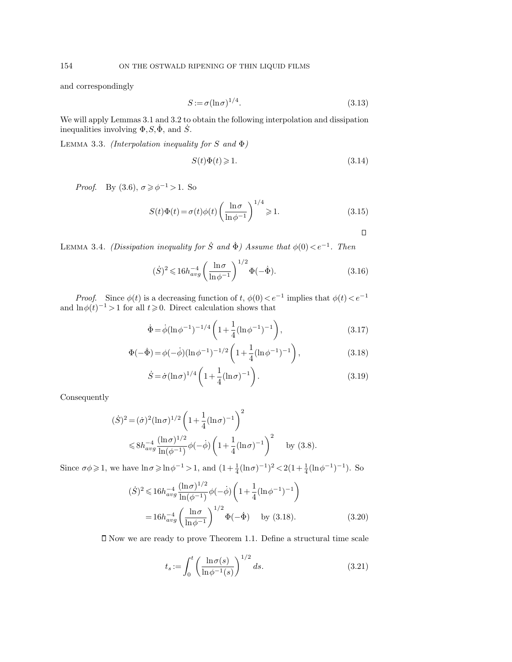and correspondingly

$$
S := \sigma(\ln \sigma)^{1/4}.\tag{3.13}
$$

We will apply Lemmas 3.1 and 3.2 to obtain the following interpolation and dissipation inequalities involving  $\Phi$ ,  $S$ ,  $\dot{\Phi}$ , and  $\dot{S}$ .

LEMMA 3.3. (Interpolation inequality for S and  $\Phi$ )

$$
S(t)\Phi(t) \geqslant 1. \tag{3.14}
$$

*Proof.* By  $(3.6), \sigma \geq \phi^{-1} > 1$ . So

$$
S(t)\Phi(t) = \sigma(t)\phi(t)\left(\frac{\ln \sigma}{\ln \phi^{-1}}\right)^{1/4} \geqslant 1.
$$
\n(3.15)

 $\Box$ 

LEMMA 3.4. (Dissipation inequality for S and  $\dot{\Phi}$ ) Assume that  $\phi(0) < e^{-1}$ . Then

$$
(\dot{S})^2 \leq 16h_{avg}^{-4} \left(\frac{\ln \sigma}{\ln \phi^{-1}}\right)^{1/2} \Phi(-\dot{\Phi}).
$$
\n(3.16)

*Proof.* Since  $\phi(t)$  is a decreasing function of t,  $\phi(0) < e^{-1}$  implies that  $\phi(t) < e^{-1}$ and  $\ln \phi(t)^{-1} > 1$  for all  $t \ge 0$ . Direct calculation shows that

$$
\dot{\Phi} = \dot{\phi} (\ln \phi^{-1})^{-1/4} \left( 1 + \frac{1}{4} (\ln \phi^{-1})^{-1} \right),
$$
\n(3.17)

$$
\Phi(-\dot{\Phi}) = \phi(-\dot{\phi})(\ln \phi^{-1})^{-1/2} \left(1 + \frac{1}{4}(\ln \phi^{-1})^{-1}\right),
$$
\n(3.18)

$$
\dot{S} = \dot{\sigma} (\ln \sigma)^{1/4} \left( 1 + \frac{1}{4} (\ln \sigma)^{-1} \right). \tag{3.19}
$$

Consequently

$$
(\dot{S})^2 = (\dot{\sigma})^2 (\ln \sigma)^{1/2} \left( 1 + \frac{1}{4} (\ln \sigma)^{-1} \right)^2
$$
  
\$\leqslant 8h\_{avg}^{-4} \frac{(\ln \sigma)^{1/2}}{\ln(\phi^{-1})} \phi(-\dot{\phi}) \left( 1 + \frac{1}{4} (\ln \sigma)^{-1} \right)^2\$ by (3.8).

Since  $\sigma\phi \geq 1$ , we have  $\ln \sigma \geqslant \ln \phi^{-1} > 1$ , and  $(1 + \frac{1}{4}(\ln \sigma)^{-1})^2 < 2(1 + \frac{1}{4}(\ln \phi^{-1})^{-1})$ . So

$$
(\dot{S})^2 \leq 16h_{avg}^{-4} \frac{(\ln \sigma)^{1/2}}{\ln(\phi^{-1})} \phi(-\dot{\phi}) \left(1 + \frac{1}{4}(\ln \phi^{-1})^{-1}\right)
$$
  
=  $16h_{avg}^{-4} \left(\frac{\ln \sigma}{\ln \phi^{-1}}\right)^{1/2} \Phi(-\dot{\Phi})$  by (3.18). (3.20)

Now we are ready to prove Theorem 1.1. Define a structural time scale

$$
t_s := \int_0^t \left(\frac{\ln \sigma(s)}{\ln \phi^{-1}(s)}\right)^{1/2} ds.
$$
 (3.21)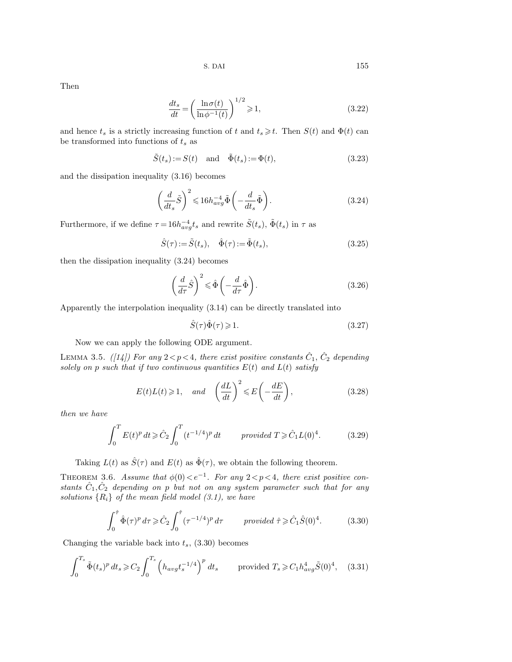Then

$$
\frac{dt_s}{dt} = \left(\frac{\ln \sigma(t)}{\ln \phi^{-1}(t)}\right)^{1/2} \ge 1,\tag{3.22}
$$

and hence  $t_s$  is a strictly increasing function of t and  $t_s \geq t$ . Then  $S(t)$  and  $\Phi(t)$  can be transformed into functions of  $t_{\mathfrak{s}}$  as

$$
\tilde{S}(t_s) := S(t) \quad \text{and} \quad \tilde{\Phi}(t_s) := \Phi(t), \tag{3.23}
$$

and the dissipation inequality (3.16) becomes

$$
\left(\frac{d}{dt_s}\tilde{S}\right)^2 \leqslant 16h_{avg}^{-4}\tilde{\Phi}\left(-\frac{d}{dt_s}\tilde{\Phi}\right). \tag{3.24}
$$

Furthermore, if we define  $\tau = 16h_{avg}^{-4}t_s$  and rewrite  $\tilde{S}(t_s)$ ,  $\tilde{\Phi}(t_s)$  in  $\tau$  as

$$
\hat{S}(\tau) := \tilde{S}(t_s), \quad \hat{\Phi}(\tau) := \tilde{\Phi}(t_s), \tag{3.25}
$$

then the dissipation inequality (3.24) becomes

$$
\left(\frac{d}{d\tau}\hat{S}\right)^2 \leq \hat{\Phi}\left(-\frac{d}{d\tau}\hat{\Phi}\right). \tag{3.26}
$$

Apparently the interpolation inequality (3.14) can be directly translated into

$$
\hat{S}(\tau)\hat{\Phi}(\tau) \geq 1. \tag{3.27}
$$

Now we can apply the following ODE argument.

LEMMA 3.5. ([14]) For any  $2 < p < 4$ , there exist positive constants  $\hat{C}_1$ ,  $\hat{C}_2$  depending solely on p such that if two continuous quantities  $E(t)$  and  $L(t)$  satisfy

$$
E(t)L(t) \ge 1
$$
, and  $\left(\frac{dL}{dt}\right)^2 \le E\left(-\frac{dE}{dt}\right)$ , (3.28)

then we have

$$
\int_0^T E(t)^p dt \geq \hat{C}_2 \int_0^T (t^{-1/4})^p dt \qquad provided \ T \geq \hat{C}_1 L(0)^4. \tag{3.29}
$$

Taking  $L(t)$  as  $\hat{S}(\tau)$  and  $E(t)$  as  $\hat{\Phi}(\tau)$ , we obtain the following theorem.

THEOREM 3.6. Assume that  $\phi(0) < e^{-1}$ . For any  $2 < p < 4$ , there exist positive constants  $\hat{C}_1, \hat{C}_2$  depending on p but not on any system parameter such that for any solutions  $\{R_i\}$  of the mean field model (3.1), we have

$$
\int_0^{\hat{\tau}} \hat{\Phi}(\tau)^p d\tau \geq \hat{C}_2 \int_0^{\hat{\tau}} (\tau^{-1/4})^p d\tau \qquad provided \ \hat{\tau} \geq \hat{C}_1 \hat{S}(0)^4. \tag{3.30}
$$

Changing the variable back into  $t_s$ , (3.30) becomes

$$
\int_0^{T_s} \tilde{\Phi}(t_s)^p \, dt_s \geq C_2 \int_0^{T_s} \left( h_{avg} t_s^{-1/4} \right)^p \, dt_s \qquad \text{provided } T_s \geq C_1 h_{avg}^4 \tilde{S}(0)^4, \quad (3.31)
$$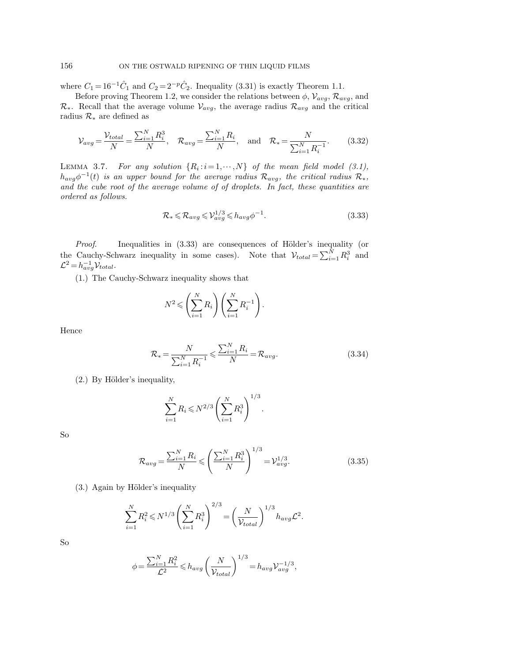where  $C_1 = 16^{-1}\hat{C}_1$  and  $C_2 = 2^{-p}\hat{C}_2$ . Inequality (3.31) is exactly Theorem 1.1.

Before proving Theorem 1.2, we consider the relations between  $\phi$ ,  $\mathcal{V}_{avg}$ ,  $\mathcal{R}_{avg}$ , and  $\mathcal{R}_{*}$ . Recall that the average volume  $\mathcal{V}_{avg}$ , the average radius  $\mathcal{R}_{avg}$  and the critical radius  $\mathcal{R}_*$  are defined as

$$
\mathcal{V}_{avg} = \frac{\mathcal{V}_{total}}{N} = \frac{\sum_{i=1}^{N} R_i^3}{N}, \quad \mathcal{R}_{avg} = \frac{\sum_{i=1}^{N} R_i}{N}, \quad \text{and} \quad \mathcal{R}_{*} = \frac{N}{\sum_{i=1}^{N} R_i^{-1}}.
$$
 (3.32)

LEMMA 3.7. For any solution  $\{R_i : i = 1, \dots, N\}$  of the mean field model (3.1),  $h_{avg}\phi^{-1}(t)$  is an upper bound for the average radius  $\mathcal{R}_{avg}$ , the critical radius  $\mathcal{R}_*,$ and the cube root of the average volume of of droplets. In fact, these quantities are ordered as follows.

$$
\mathcal{R}_{*} \leq \mathcal{R}_{avg} \leq \mathcal{V}_{avg}^{1/3} \leq h_{avg} \phi^{-1}.
$$
\n(3.33)

*Proof.* Inequalities in  $(3.33)$  are consequences of Hölder's inequality (or the Cauchy-Schwarz inequality in some cases). Note that  $V_{total} = \sum_{i=1}^{N} R_i^3$  and  $\mathcal{L}^2 = h_{avg}^{-1} \mathcal{V}_{total}.$ 

(1.) The Cauchy-Schwarz inequality shows that

$$
N^2 \leqslant \left(\sum_{i=1}^N R_i\right) \left(\sum_{i=1}^N R_i^{-1}\right).
$$

Hence

$$
\mathcal{R}_{*} = \frac{N}{\sum_{i=1}^{N} R_{i}^{-1}} \leqslant \frac{\sum_{i=1}^{N} R_{i}}{N} = \mathcal{R}_{avg}.
$$
\n(3.34)

 $(2.)$  By Hölder's inequality,

$$
\sum_{i=1}^{N} R_i \leq N^{2/3} \left( \sum_{i=1}^{N} R_i^3 \right)^{1/3}.
$$

So

$$
\mathcal{R}_{avg} = \frac{\sum_{i=1}^{N} R_i}{N} \leqslant \left(\frac{\sum_{i=1}^{N} R_i^3}{N}\right)^{1/3} = \mathcal{V}_{avg}^{1/3}.
$$
\n(3.35)

 $(3.)$  Again by Hölder's inequality

$$
\sum_{i=1}^{N} R_i^2 \leq N^{1/3} \left( \sum_{i=1}^{N} R_i^3 \right)^{2/3} = \left( \frac{N}{\mathcal{V}_{total}} \right)^{1/3} h_{avg} \mathcal{L}^2.
$$

So

$$
\phi = \frac{\sum_{i=1}^N R_i^2}{\mathcal{L}^2} \leqslant h_{avg} \left(\frac{N}{\mathcal{V}_{total}}\right)^{1/3} = h_{avg} \mathcal{V}_{avg}^{-1/3},
$$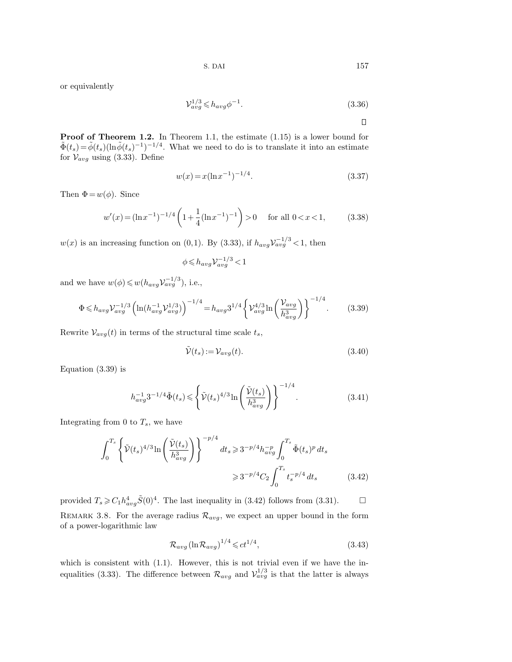$$
S. \text{ } DAI \qquad \qquad 157
$$

or equivalently

$$
\mathcal{V}_{avg}^{1/3} \leq h_{avg} \phi^{-1}.\tag{3.36}
$$

 $\Box$ 

Proof of Theorem 1.2. In Theorem 1.1, the estimate  $(1.15)$  is a lower bound for  $\tilde{\Phi}(t_s) = \tilde{\phi}(t_s)(\ln \tilde{\phi}(t_s)^{-1})^{-1/4}$ . What we need to do is to translate it into an estimate for  $V_{avg}$  using (3.33). Define

$$
w(x) = x(\ln x^{-1})^{-1/4}.
$$
\n(3.37)

Then  $\Phi = w(\phi)$ . Since

$$
w'(x) = (\ln x^{-1})^{-1/4} \left( 1 + \frac{1}{4} (\ln x^{-1})^{-1} \right) > 0 \quad \text{for all } 0 < x < 1,\tag{3.38}
$$

 $w(x)$  is an increasing function on (0,1). By (3.33), if  $h_{avg}V_{avg}^{-1/3}$  < 1, then

$$
\phi\!\leqslant\!h_{avg}{\mathcal V}_{avg}^{-1/3}\!<\!1
$$

and we have  $w(\phi) \leq w(h_{avg} \mathcal{V}_{avg}^{-1/3}),$  i.e.,

$$
\Phi \le h_{avg} \mathcal{V}_{avg}^{-1/3} \left( \ln(h_{avg}^{-1} \mathcal{V}_{avg}^{1/3}) \right)^{-1/4} = h_{avg} 3^{1/4} \left\{ \mathcal{V}_{avg}^{4/3} \ln \left( \frac{\mathcal{V}_{avg}}{h_{avg}^3} \right) \right\}^{-1/4}.
$$
 (3.39)

Rewrite  $V_{avg}(t)$  in terms of the structural time scale  $t_s$ ,

$$
\tilde{\mathcal{V}}(t_s) := \mathcal{V}_{avg}(t). \tag{3.40}
$$

Equation (3.39) is

$$
h_{avg}^{-1}3^{-1/4}\tilde{\Phi}(t_s) \leq \left\{\tilde{\mathcal{V}}(t_s)^{4/3}\ln\left(\frac{\tilde{\mathcal{V}}(t_s)}{h_{avg}^3}\right)\right\}^{-1/4}.\tag{3.41}
$$

Integrating from 0 to  $T_s$ , we have

$$
\int_0^{T_s} \left\{ \tilde{\mathcal{V}}(t_s)^{4/3} \ln \left( \frac{\tilde{\mathcal{V}}(t_s)}{h_{avg}^3} \right) \right\}^{-p/4} dt_s \ge 3^{-p/4} h_{avg}^{-p} \int_0^{T_s} \tilde{\Phi}(t_s)^p dt_s
$$
  

$$
\ge 3^{-p/4} C_2 \int_0^{T_s} t_s^{-p/4} dt_s \tag{3.42}
$$

provided  $T_s \geqslant C_1 h_{avg}^4 \tilde{S}(0)^4$ . The last inequality in (3.42) follows from (3.31).  $\Box$ REMARK 3.8. For the average radius  $\mathcal{R}_{avg}$ , we expect an upper bound in the form of a power-logarithmic law

$$
\mathcal{R}_{avg} (\ln \mathcal{R}_{avg})^{1/4} \leqslant ct^{1/4},\tag{3.43}
$$

which is consistent with  $(1.1)$ . However, this is not trivial even if we have the inequalities (3.33). The difference between  $\mathcal{R}_{avg}$  and  $\mathcal{V}_{avg}^{1/3}$  is that the latter is always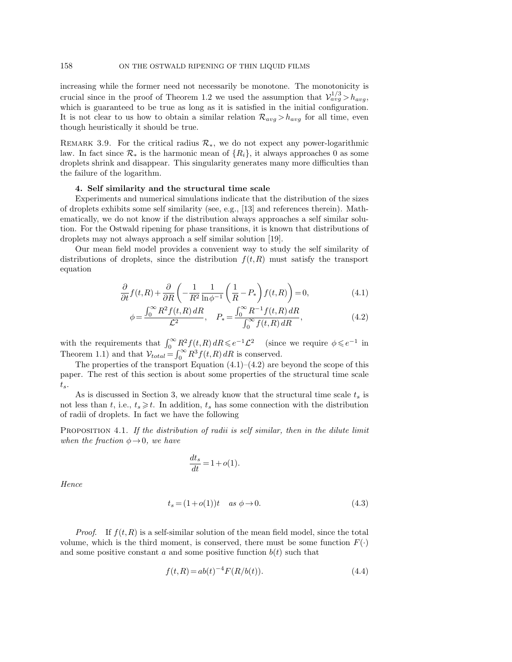increasing while the former need not necessarily be monotone. The monotonicity is crucial since in the proof of Theorem 1.2 we used the assumption that  $\mathcal{V}_{avg}^{1/3} > h_{avg}$ , which is guaranteed to be true as long as it is satisfied in the initial configuration. It is not clear to us how to obtain a similar relation  $\mathcal{R}_{avg} > h_{avg}$  for all time, even though heuristically it should be true.

REMARK 3.9. For the critical radius  $\mathcal{R}_*$ , we do not expect any power-logarithmic law. In fact since  $\mathcal{R}_*$  is the harmonic mean of  $\{R_i\}$ , it always approaches 0 as some droplets shrink and disappear. This singularity generates many more difficulties than the failure of the logarithm.

## 4. Self similarity and the structural time scale

Experiments and numerical simulations indicate that the distribution of the sizes of droplets exhibits some self similarity (see, e.g., [13] and references therein). Mathematically, we do not know if the distribution always approaches a self similar solution. For the Ostwald ripening for phase transitions, it is known that distributions of droplets may not always approach a self similar solution [19].

Our mean field model provides a convenient way to study the self similarity of distributions of droplets, since the distribution  $f(t,R)$  must satisfy the transport equation

$$
\frac{\partial}{\partial t} f(t, R) + \frac{\partial}{\partial R} \left( -\frac{1}{R^2} \frac{1}{\ln \phi^{-1}} \left( \frac{1}{R} - P_* \right) f(t, R) \right) = 0,\tag{4.1}
$$

$$
\phi = \frac{\int_0^\infty R^2 f(t, R) \, dR}{\mathcal{L}^2}, \quad P_* = \frac{\int_0^\infty R^{-1} f(t, R) \, dR}{\int_0^\infty f(t, R) \, dR},\tag{4.2}
$$

with the requirements that  $\int_0^\infty R^2 f(t, R) dR \leqslant e^{-1} \mathcal{L}^2$  (since we require  $\phi \leqslant e^{-1}$  in Theorem 1.1) and that  $V_{total} = \int_0^\infty R^3 f(t, R) dR$  is conserved.

The properties of the transport Equation  $(4.1)$ – $(4.2)$  are beyond the scope of this paper. The rest of this section is about some properties of the structural time scale  $t_s$ .

As is discussed in Section 3, we already know that the structural time scale  $t_s$  is not less than t, i.e.,  $t_s \geq t$ . In addition,  $t_s$  has some connection with the distribution of radii of droplets. In fact we have the following

PROPOSITION 4.1. If the distribution of radii is self similar, then in the dilute limit when the fraction  $\phi \rightarrow 0$ , we have

$$
\frac{dt_s}{dt} = 1 + o(1).
$$

Hence

$$
t_s = (1 + o(1))t \quad as \ \phi \to 0. \tag{4.3}
$$

*Proof.* If  $f(t,R)$  is a self-similar solution of the mean field model, since the total volume, which is the third moment, is conserved, there must be some function  $F(\cdot)$ and some positive constant a and some positive function  $b(t)$  such that

$$
f(t,R) = ab(t)^{-4} F(R/b(t)).
$$
\n(4.4)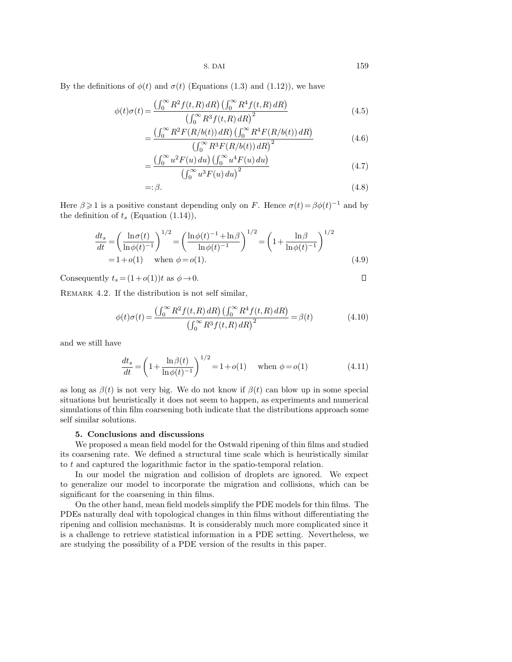By the definitions of  $\phi(t)$  and  $\sigma(t)$  (Equations (1.3) and (1.12)), we have

$$
\phi(t)\sigma(t) = \frac{\left(\int_0^\infty R^2 f(t, R) \, dR\right) \left(\int_0^\infty R^4 f(t, R) \, dR\right)}{\left(\int_0^\infty R^3 f(t, R) \, dR\right)^2} \tag{4.5}
$$

$$
=\frac{\left(\int_0^\infty R^2 F(R/b(t))\,dR\right)\left(\int_0^\infty R^4 F(R/b(t))\,dR\right)}{\left(\int_0^\infty R^3 F(R/b(t))\,dR\right)^2}\tag{4.6}
$$

$$
= \frac{\left(\int_0^\infty u^2 F(u) \, du\right) \left(\int_0^\infty u^4 F(u) \, du\right)}{\left(\int_0^\infty u^3 F(u) \, du\right)^2} \tag{4.7}
$$

$$
=:\beta.\tag{4.8}
$$

Here  $\beta \geq 1$  is a positive constant depending only on F. Hence  $\sigma(t) = \beta \phi(t)^{-1}$  and by the definition of  $t_s$  (Equation (1.14)),

$$
\frac{dt_s}{dt} = \left(\frac{\ln \sigma(t)}{\ln \phi(t)^{-1}}\right)^{1/2} = \left(\frac{\ln \phi(t)^{-1} + \ln \beta}{\ln \phi(t)^{-1}}\right)^{1/2} = \left(1 + \frac{\ln \beta}{\ln \phi(t)^{-1}}\right)^{1/2}
$$
\n
$$
= 1 + o(1) \quad \text{when } \phi = o(1). \tag{4.9}
$$

Consequently  $t_s = (1+o(1))t$  as  $\phi \rightarrow 0$ .

REMARK 4.2. If the distribution is not self similar,

$$
\phi(t)\sigma(t) = \frac{\left(\int_0^\infty R^2 f(t, R) \, dR\right) \left(\int_0^\infty R^4 f(t, R) \, dR\right)}{\left(\int_0^\infty R^3 f(t, R) \, dR\right)^2} = \beta(t) \tag{4.10}
$$

and we still have

$$
\frac{dt_s}{dt} = \left(1 + \frac{\ln \beta(t)}{\ln \phi(t)^{-1}}\right)^{1/2} = 1 + o(1) \quad \text{when } \phi = o(1)
$$
\n(4.11)

as long as  $\beta(t)$  is not very big. We do not know if  $\beta(t)$  can blow up in some special situations but heuristically it does not seem to happen, as experiments and numerical simulations of thin film coarsening both indicate that the distributions approach some self similar solutions.

# 5. Conclusions and discussions

We proposed a mean field model for the Ostwald ripening of thin films and studied its coarsening rate. We defined a structural time scale which is heuristically similar to t and captured the logarithmic factor in the spatio-temporal relation.

In our model the migration and collision of droplets are ignored. We expect to generalize our model to incorporate the migration and collisions, which can be significant for the coarsening in thin films.

On the other hand, mean field models simplify the PDE models for thin films. The PDEs naturally deal with topological changes in thin films without differentiating the ripening and collision mechanisms. It is considerably much more complicated since it is a challenge to retrieve statistical information in a PDE setting. Nevertheless, we are studying the possibility of a PDE version of the results in this paper.

 $\Box$